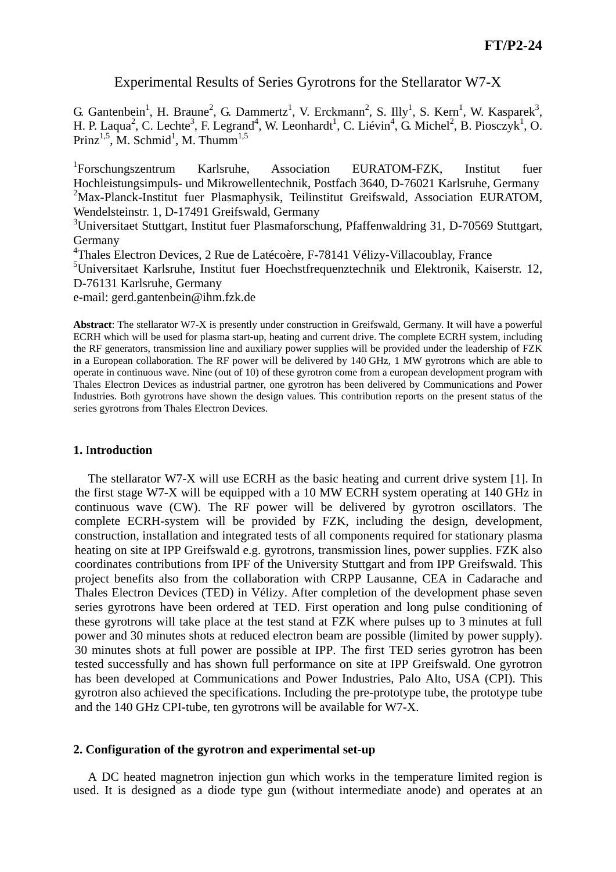# Experimental Results of Series Gyrotrons for the Stellarator W7-X

G. Gantenbein<sup>1</sup>, H. Braune<sup>2</sup>, G. Dammertz<sup>1</sup>, V. Erckmann<sup>2</sup>, S. Illy<sup>1</sup>, S. Kern<sup>1</sup>, W. Kasparek<sup>3</sup>, H. P. Laqua<sup>2</sup>, C. Lechte<sup>3</sup>, F. Legrand<sup>4</sup>, W. Leonhardt<sup>1</sup>, C. Liévin<sup>4</sup>, G. Michel<sup>2</sup>, B. Piosczyk<sup>1</sup>, O. Prinz<sup>1,5</sup>, M. Schmid<sup>1</sup>, M. Thumm<sup>1,5</sup>

<sup>1</sup>Forschungszentrum Karlsruhe, Association EURATOM-FZK, Institut fuer Hochleistungsimpuls- und Mikrowellentechnik, Postfach 3640, D-76021 Karlsruhe, Germany <sup>2</sup>Max-Planck-Institut fuer Plasmaphysik, Teilinstitut Greifswald, Association EURATOM, Wendelsteinstr. 1, D-17491 Greifswald, Germany

<sup>3</sup>Universitaet Stuttgart, Institut fuer Plasmaforschung, Pfaffenwaldring 31, D-70569 Stuttgart, Germany

4 Thales Electron Devices, 2 Rue de Latécoère, F-78141 Vélizy-Villacoublay, France

<sup>5</sup>Universitaet Karlsruhe, Institut fuer Hoechstfrequenztechnik und Elektronik, Kaiserstr. 12, D-76131 Karlsruhe, Germany

e-mail: [gerd.gantenbein@ihm.fzk.de](mailto:gerd.gantenbein@ihm.fzk.de)

**Abstract**: The stellarator W7-X is presently under construction in Greifswald, Germany. It will have a powerful ECRH which will be used for plasma start-up, heating and current drive. The complete ECRH system, including the RF generators, transmission line and auxiliary power supplies will be provided under the leadership of FZK in a European collaboration. The RF power will be delivered by 140 GHz, 1 MW gyrotrons which are able to operate in continuous wave. Nine (out of 10) of these gyrotron come from a european development program with Thales Electron Devices as industrial partner, one gyrotron has been delivered by Communications and Power Industries. Both gyrotrons have shown the design values. This contribution reports on the present status of the series gyrotrons from Thales Electron Devices.

### **1.** I**ntroduction**

The stellarator W7-X will use ECRH as the basic heating and current drive system [1]. In the first stage W7-X will be equipped with a 10 MW ECRH system operating at 140 GHz in continuous wave (CW). The RF power will be delivered by gyrotron oscillators. The complete ECRH-system will be provided by FZK, including the design, development, construction, installation and integrated tests of all components required for stationary plasma heating on site at IPP Greifswald e.g. gyrotrons, transmission lines, power supplies. FZK also coordinates contributions from IPF of the University Stuttgart and from IPP Greifswald. This project benefits also from the collaboration with CRPP Lausanne, CEA in Cadarache and Thales Electron Devices (TED) in Vélizy. After completion of the development phase seven series gyrotrons have been ordered at TED. First operation and long pulse conditioning of these gyrotrons will take place at the test stand at FZK where pulses up to 3 minutes at full power and 30 minutes shots at reduced electron beam are possible (limited by power supply). 30 minutes shots at full power are possible at IPP. The first TED series gyrotron has been tested successfully and has shown full performance on site at IPP Greifswald. One gyrotron has been developed at Communications and Power Industries, Palo Alto, USA (CPI). This gyrotron also achieved the specifications. Including the pre-prototype tube, the prototype tube and the 140 GHz CPI-tube, ten gyrotrons will be available for W7-X.

### **2. Configuration of the gyrotron and experimental set-up**

A DC heated magnetron injection gun which works in the temperature limited region is used. It is designed as a diode type gun (without intermediate anode) and operates at an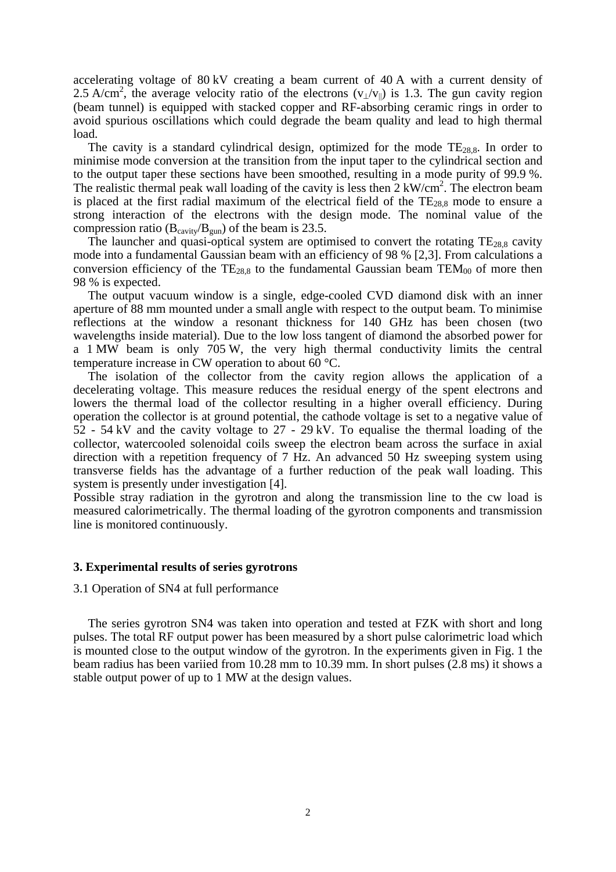accelerating voltage of 80 kV creating a beam current of 40 A with a current density of 2.5 A/cm<sup>2</sup>, the average velocity ratio of the electrons (v<sub>⊥</sub>/v<sub>||</sub>) is 1.3. The gun cavity region (beam tunnel) is equipped with stacked copper and RF-absorbing ceramic rings in order to avoid spurious oscillations which could degrade the beam quality and lead to high thermal load.

The cavity is a standard cylindrical design, optimized for the mode  $TE_{28,8}$ . In order to minimise mode conversion at the transition from the input taper to the cylindrical section and to the output taper these sections have been smoothed, resulting in a mode purity of 99.9 %. The realistic thermal peak wall loading of the cavity is less then  $2 \text{ kW/cm}^2$ . The electron beam is placed at the first radial maximum of the electrical field of the  $TE_{28,8}$  mode to ensure a strong interaction of the electrons with the design mode. The nominal value of the compression ratio ( $B_{\text{cavity}}/B_{\text{gun}}$ ) of the beam is 23.5.

The launcher and quasi-optical system are optimised to convert the rotating  $TE_{28.8}$  cavity mode into a fundamental Gaussian beam with an efficiency of 98 % [2,3]. From calculations a conversion efficiency of the  $TE_{28,8}$  to the fundamental Gaussian beam  $TEM_{00}$  of more then 98 % is expected.

The output vacuum window is a single, edge-cooled CVD diamond disk with an inner aperture of 88 mm mounted under a small angle with respect to the output beam. To minimise reflections at the window a resonant thickness for 140 GHz has been chosen (two wavelengths inside material). Due to the low loss tangent of diamond the absorbed power for a 1 MW beam is only 705 W, the very high thermal conductivity limits the central temperature increase in CW operation to about 60 °C.

The isolation of the collector from the cavity region allows the application of a decelerating voltage. This measure reduces the residual energy of the spent electrons and lowers the thermal load of the collector resulting in a higher overall efficiency. During operation the collector is at ground potential, the cathode voltage is set to a negative value of 52 - 54 kV and the cavity voltage to 27 - 29 kV. To equalise the thermal loading of the collector, watercooled solenoidal coils sweep the electron beam across the surface in axial direction with a repetition frequency of 7 Hz. An advanced 50 Hz sweeping system using transverse fields has the advantage of a further reduction of the peak wall loading. This system is presently under investigation [4].

Possible stray radiation in the gyrotron and along the transmission line to the cw load is measured calorimetrically. The thermal loading of the gyrotron components and transmission line is monitored continuously.

#### **3. Experimental results of series gyrotrons**

#### 3.1 Operation of SN4 at full performance

The series gyrotron SN4 was taken into operation and tested at FZK with short and long pulses. The total RF output power has been measured by a short pulse calorimetric load which is mounted close to the output window of the gyrotron. In the experiments given in Fig. 1 the beam radius has been variied from 10.28 mm to 10.39 mm. In short pulses (2.8 ms) it shows a stable output power of up to 1 MW at the design values.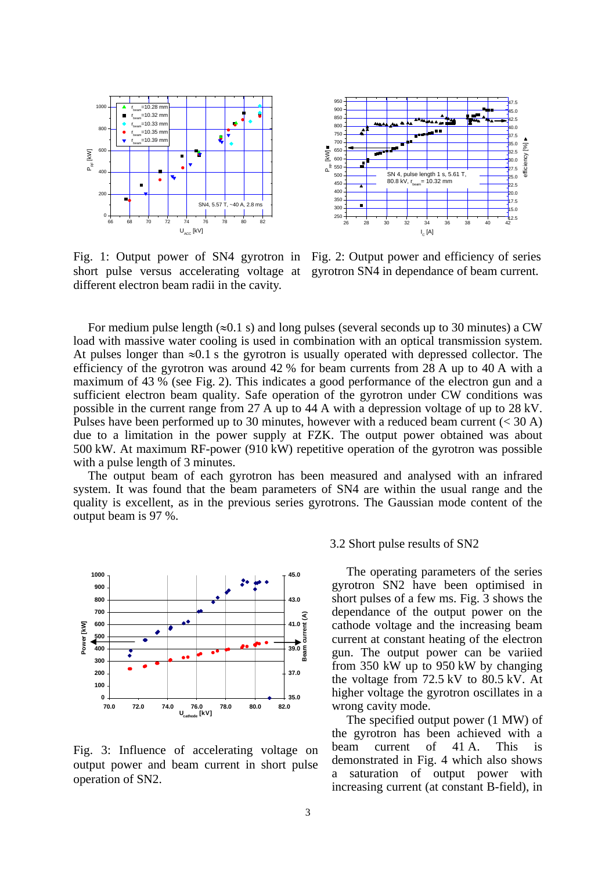

different electron beam radii in the cavity.



Fig. 1: Output power of SN4 gyrotron in Fig. 2: Output power and efficiency of series short pulse versus accelerating voltage at gyrotron SN4 in dependance of beam current.

For medium pulse length ( $\approx 0.1$  s) and long pulses (several seconds up to 30 minutes) a CW load with massive water cooling is used in combination with an optical transmission system. At pulses longer than  $\approx 0.1$  s the gyrotron is usually operated with depressed collector. The efficiency of the gyrotron was around 42 % for beam currents from 28 A up to 40 A with a maximum of 43 % (see Fig. 2). This indicates a good performance of the electron gun and a sufficient electron beam quality. Safe operation of the gyrotron under CW conditions was possible in the current range from 27 A up to 44 A with a depression voltage of up to 28 kV. Pulses have been performed up to 30 minutes, however with a reduced beam current (< 30 A) due to a limitation in the power supply at FZK. The output power obtained was about 500 kW. At maximum RF-power (910 kW) repetitive operation of the gyrotron was possible with a pulse length of 3 minutes.

The output beam of each gyrotron has been measured and analysed with an infrared system. It was found that the beam parameters of SN4 are within the usual range and the quality is excellent, as in the previous series gyrotrons. The Gaussian mode content of the output beam is 97 %.



Fig. 3: Influence of accelerating voltage on output power and beam current in short pulse operation of SN2.

#### 3.2 Short pulse results of SN2

The operating parameters of the series gyrotron SN2 have been optimised in short pulses of a few ms. Fig. 3 shows the dependance of the output power on the cathode voltage and the increasing beam current at constant heating of the electron gun. The output power can be variied from 350 kW up to 950 kW by changing the voltage from 72.5 kV to 80.5 kV. At higher voltage the gyrotron oscillates in a

The specified output power (1 MW) of the gyrotron has been achieved with a beam current of 41 A. This is demonstrated in Fig. 4 which also shows a saturation of output power with increasing current (at constant B-field), in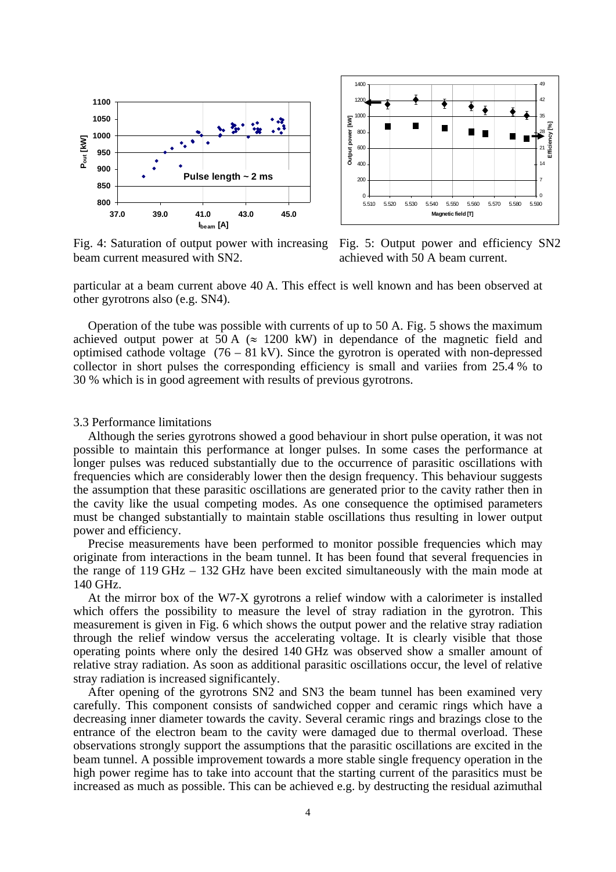

1400 49 120 42  $\bar{\bullet}$ 1000  $\overline{55}$ Output power [kW] **Output power [kW]**  $\blacksquare$ ncy [%] **Efficiency [%]**  $800$ 28 600 21  $400$ 14 200 7  $\Omega$  $\mathsf{C}$ 5.510 5.520 5.530 5.540 5.550 5.560 5.570 5.580 5.590 **Magnetic field [T]**

Fig. 4: Saturation of output power with increasing beam current measured with SN2.



particular at a beam current above 40 A. This effect is well known and has been observed at other gyrotrons also (e.g. SN4).

Operation of the tube was possible with currents of up to 50 A. Fig. 5 shows the maximum achieved output power at  $50 \text{ A}$  ( $\approx 1200 \text{ kW}$ ) in dependance of the magnetic field and optimised cathode voltage (76 – 81 kV). Since the gyrotron is operated with non-depressed collector in short pulses the corresponding efficiency is small and variies from 25.4 % to 30 % which is in good agreement with results of previous gyrotrons.

#### 3.3 Performance limitations

Although the series gyrotrons showed a good behaviour in short pulse operation, it was not possible to maintain this performance at longer pulses. In some cases the performance at longer pulses was reduced substantially due to the occurrence of parasitic oscillations with frequencies which are considerably lower then the design frequency. This behaviour suggests the assumption that these parasitic oscillations are generated prior to the cavity rather then in the cavity like the usual competing modes. As one consequence the optimised parameters must be changed substantially to maintain stable oscillations thus resulting in lower output power and efficiency.

Precise measurements have been performed to monitor possible frequencies which may originate from interactions in the beam tunnel. It has been found that several frequencies in the range of 119 GHz – 132 GHz have been excited simultaneously with the main mode at 140 GHz.

At the mirror box of the W7-X gyrotrons a relief window with a calorimeter is installed which offers the possibility to measure the level of stray radiation in the gyrotron. This measurement is given in Fig. 6 which shows the output power and the relative stray radiation through the relief window versus the accelerating voltage. It is clearly visible that those operating points where only the desired 140 GHz was observed show a smaller amount of relative stray radiation. As soon as additional parasitic oscillations occur, the level of relative stray radiation is increased significantely.

After opening of the gyrotrons SN2 and SN3 the beam tunnel has been examined very carefully. This component consists of sandwiched copper and ceramic rings which have a decreasing inner diameter towards the cavity. Several ceramic rings and brazings close to the entrance of the electron beam to the cavity were damaged due to thermal overload. These observations strongly support the assumptions that the parasitic oscillations are excited in the beam tunnel. A possible improvement towards a more stable single frequency operation in the high power regime has to take into account that the starting current of the parasitics must be increased as much as possible. This can be achieved e.g. by destructing the residual azimuthal